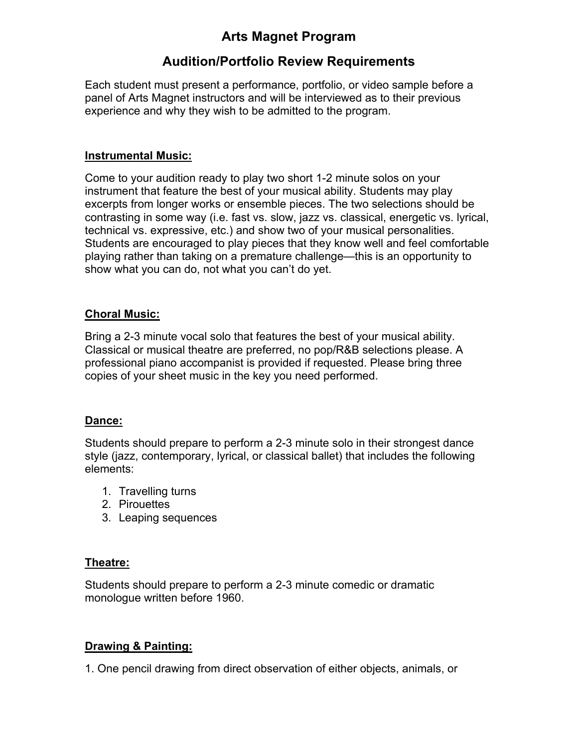## **Arts Magnet Program**

# **Audition/Portfolio Review Requirements**

Each student must present a performance, portfolio, or video sample before a panel of Arts Magnet instructors and will be interviewed as to their previous experience and why they wish to be admitted to the program.

#### **Instrumental Music:**

Come to your audition ready to play two short 1-2 minute solos on your instrument that feature the best of your musical ability. Students may play excerpts from longer works or ensemble pieces. The two selections should be contrasting in some way (i.e. fast vs. slow, jazz vs. classical, energetic vs. lyrical, technical vs. expressive, etc.) and show two of your musical personalities. Students are encouraged to play pieces that they know well and feel comfortable playing rather than taking on a premature challenge—this is an opportunity to show what you can do, not what you can't do yet.

#### **Choral Music:**

Bring a 2-3 minute vocal solo that features the best of your musical ability. Classical or musical theatre are preferred, no pop/R&B selections please. A professional piano accompanist is provided if requested. Please bring three copies of your sheet music in the key you need performed.

## **Dance:**

Students should prepare to perform a 2-3 minute solo in their strongest dance style (jazz, contemporary, lyrical, or classical ballet) that includes the following elements:

- 1. Travelling turns
- 2. Pirouettes
- 3. Leaping sequences

#### **Theatre:**

Students should prepare to perform a 2-3 minute comedic or dramatic monologue written before 1960.

## **Drawing & Painting:**

1. One pencil drawing from direct observation of either objects, animals, or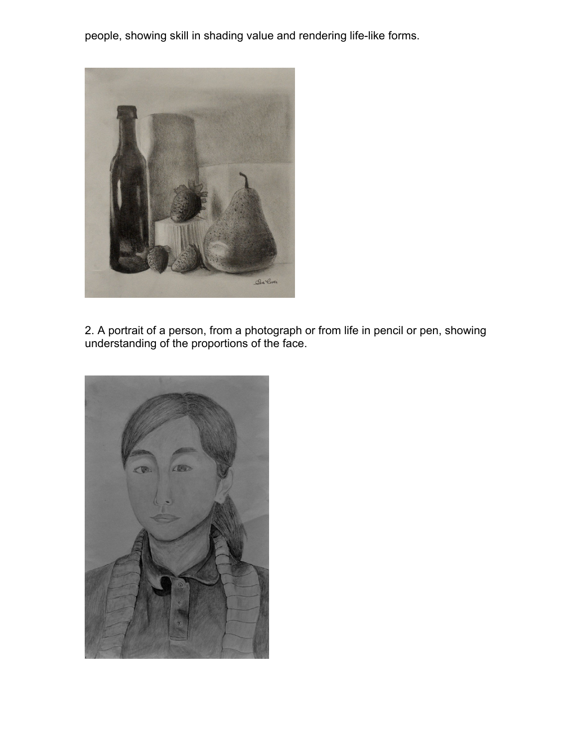people, showing skill in shading value and rendering life-like forms.



2. A portrait of a person, from a photograph or from life in pencil or pen, showing understanding of the proportions of the face.

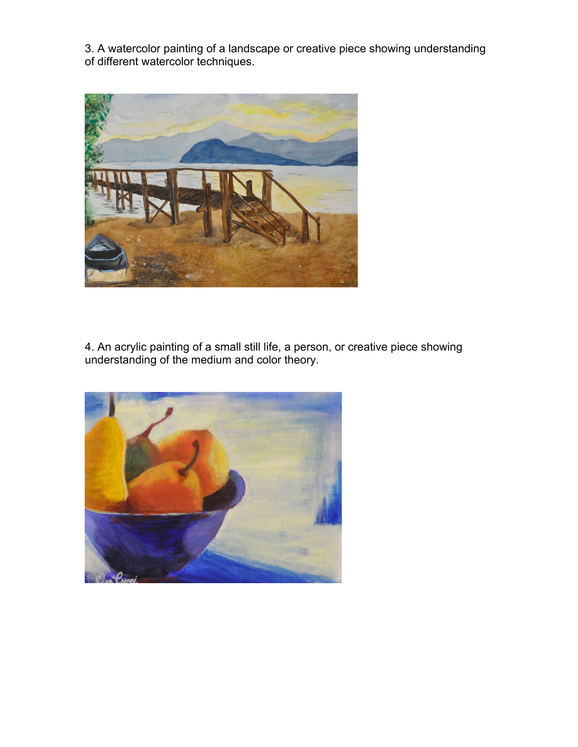3. A watercolor painting of a landscape or creative piece showing understanding of different watercolor techniques.



4. An acrylic painting of a small still life, a person, or creative piece showing understanding of the medium and color theory.